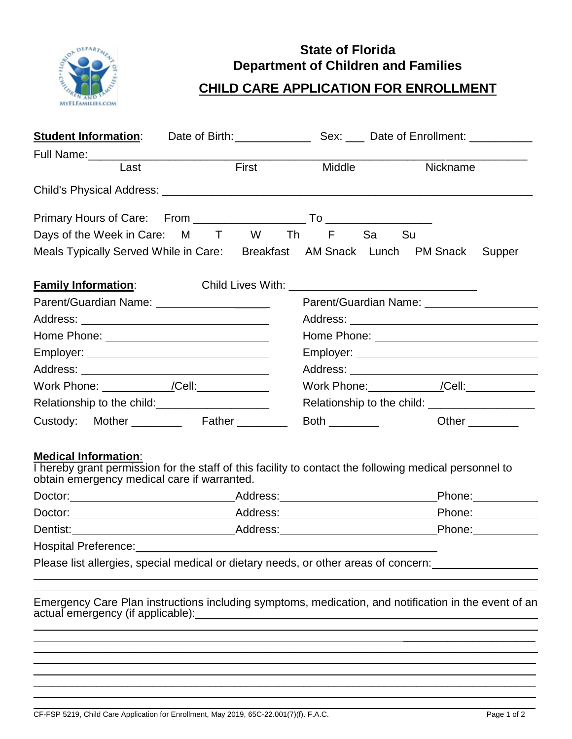

## **State of Florida Department of Children and Families**

## **CHILD CARE APPLICATION FOR ENROLLMENT**

| <b>Student Information:</b>                                                                                                                                                          |  |                                           |                                                              |                           |
|--------------------------------------------------------------------------------------------------------------------------------------------------------------------------------------|--|-------------------------------------------|--------------------------------------------------------------|---------------------------|
|                                                                                                                                                                                      |  |                                           |                                                              |                           |
| Last                                                                                                                                                                                 |  | <b>First Exercise 1999</b><br>Middle      | Nickname                                                     |                           |
|                                                                                                                                                                                      |  |                                           |                                                              |                           |
|                                                                                                                                                                                      |  |                                           |                                                              |                           |
| Days of the Week in Care: M T W Th F Sa Su                                                                                                                                           |  |                                           |                                                              |                           |
| Meals Typically Served While in Care: Breakfast AM Snack Lunch PM Snack Supper                                                                                                       |  |                                           |                                                              |                           |
| <b>Family Information:</b>                                                                                                                                                           |  |                                           |                                                              |                           |
|                                                                                                                                                                                      |  |                                           |                                                              |                           |
|                                                                                                                                                                                      |  |                                           |                                                              |                           |
| Home Phone: ______________________________                                                                                                                                           |  |                                           |                                                              |                           |
|                                                                                                                                                                                      |  |                                           |                                                              |                           |
|                                                                                                                                                                                      |  |                                           |                                                              |                           |
| Work Phone: __________/Cell:___________                                                                                                                                              |  | Work Phone: ___________ /Cell: __________ |                                                              |                           |
| Relationship to the child:                                                                                                                                                           |  |                                           | Relationship to the child: Network and the set of the child: |                           |
| Custody: Mother ________ Father ______                                                                                                                                               |  | Both $\_\_\_\_\_\_\_\_\_\_\_\_$           |                                                              | Other $\_\_$              |
| <b>Medical Information:</b><br>I hereby grant permission for the staff of this facility to contact the following medical personnel to<br>obtain emergency medical care if warranted. |  |                                           |                                                              |                           |
|                                                                                                                                                                                      |  |                                           |                                                              |                           |
|                                                                                                                                                                                      |  |                                           |                                                              |                           |
|                                                                                                                                                                                      |  |                                           |                                                              | Phone: <b>___________</b> |
|                                                                                                                                                                                      |  |                                           |                                                              |                           |
| Please list allergies, special medical or dietary needs, or other areas of concern:                                                                                                  |  |                                           |                                                              |                           |

Emergency Care Plan instructions including symptoms, medication, and notification in the event of an actual emergency (if applicable):  $\overline{a}$ 

 $\_$  , and the set of the set of the set of the set of the set of the set of the set of the set of the set of the set of the set of the set of the set of the set of the set of the set of the set of the set of the set of th  $\_$  , and the set of the set of the set of the set of the set of the set of the set of the set of the set of the set of the set of the set of the set of the set of the set of the set of the set of the set of the set of th  $\_$  , and the set of the set of the set of the set of the set of the set of the set of the set of the set of the set of the set of the set of the set of the set of the set of the set of the set of the set of the set of th  $\_$  , and the set of the set of the set of the set of the set of the set of the set of the set of the set of the set of the set of the set of the set of the set of the set of the set of the set of the set of the set of th

\_\_\_\_\_\_\_\_\_\_\_\_\_\_\_\_\_\_\_\_\_\_\_\_\_\_\_\_\_\_\_\_\_\_\_\_\_\_\_\_\_\_\_\_\_\_\_\_\_\_\_\_\_\_\_\_\_\_\_\_\_\_\_\_\_\_\_\_\_\_\_\_\_\_\_

\_\_\_\_\_\_\_\_\_\_\_\_\_\_\_\_\_\_\_\_\_

 $\overline{\phantom{a}}$  , and the set of the set of the set of the set of the set of the set of the set of the set of the set of the set of the set of the set of the set of the set of the set of the set of the set of the set of the s